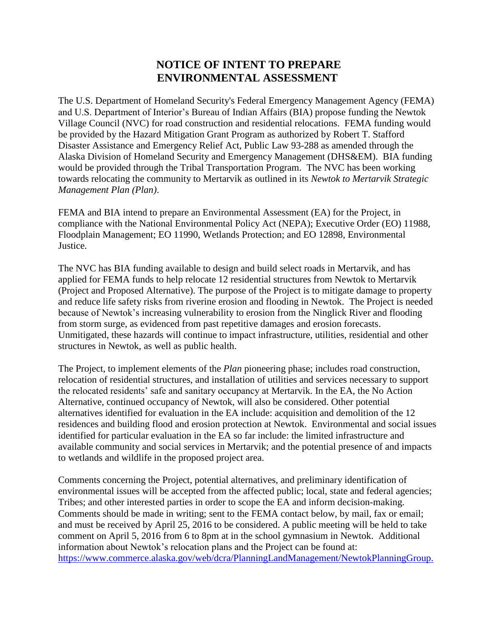## **NOTICE OF INTENT TO PREPARE ENVIRONMENTAL ASSESSMENT**

The U.S. Department of Homeland Security's Federal Emergency Management Agency (FEMA) and U.S. Department of Interior's Bureau of Indian Affairs (BIA) propose funding the Newtok Village Council (NVC) for road construction and residential relocations. FEMA funding would be provided by the Hazard Mitigation Grant Program as authorized by Robert T. Stafford Disaster Assistance and Emergency Relief Act, Public Law 93-288 as amended through the Alaska Division of Homeland Security and Emergency Management (DHS&EM). BIA funding would be provided through the Tribal Transportation Program. The NVC has been working towards relocating the community to Mertarvik as outlined in its *Newtok to Mertarvik Strategic Management Plan (Plan)*.

FEMA and BIA intend to prepare an Environmental Assessment (EA) for the Project, in compliance with the National Environmental Policy Act (NEPA); Executive Order (EO) 11988, Floodplain Management; EO 11990, Wetlands Protection; and EO 12898, Environmental Justice.

The NVC has BIA funding available to design and build select roads in Mertarvik, and has applied for FEMA funds to help relocate 12 residential structures from Newtok to Mertarvik (Project and Proposed Alternative). The purpose of the Project is to mitigate damage to property and reduce life safety risks from riverine erosion and flooding in Newtok. The Project is needed because of Newtok's increasing vulnerability to erosion from the Ninglick River and flooding from storm surge, as evidenced from past repetitive damages and erosion forecasts. Unmitigated, these hazards will continue to impact infrastructure, utilities, residential and other structures in Newtok, as well as public health.

The Project, to implement elements of the *Plan* pioneering phase; includes road construction, relocation of residential structures, and installation of utilities and services necessary to support the relocated residents' safe and sanitary occupancy at Mertarvik. In the EA, the No Action Alternative, continued occupancy of Newtok, will also be considered. Other potential alternatives identified for evaluation in the EA include: acquisition and demolition of the 12 residences and building flood and erosion protection at Newtok. Environmental and social issues identified for particular evaluation in the EA so far include: the limited infrastructure and available community and social services in Mertarvik; and the potential presence of and impacts to wetlands and wildlife in the proposed project area.

Comments concerning the Project, potential alternatives, and preliminary identification of environmental issues will be accepted from the affected public; local, state and federal agencies; Tribes; and other interested parties in order to scope the EA and inform decision-making. Comments should be made in writing; sent to the FEMA contact below, by mail, fax or email; and must be received by April 25, 2016 to be considered. A public meeting will be held to take comment on April 5, 2016 from 6 to 8pm at in the school gymnasium in Newtok. Additional information about Newtok's relocation plans and the Project can be found at: [https://www.commerce.alaska.gov/web/dcra/PlanningLandManagement/NewtokPlanningGroup.](https://www.commerce.alaska.gov/web/dcra/PlanningLandManagement/NewtokPlanningGroup.aspx)